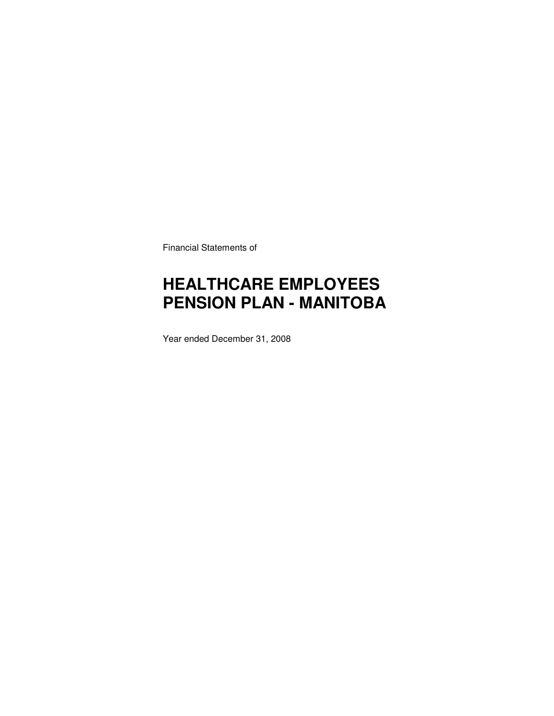Financial Statements of

# **HEALTHCARE EMPLOYEES PENSION PLAN - MANITOBA**

Year ended December 31, 2008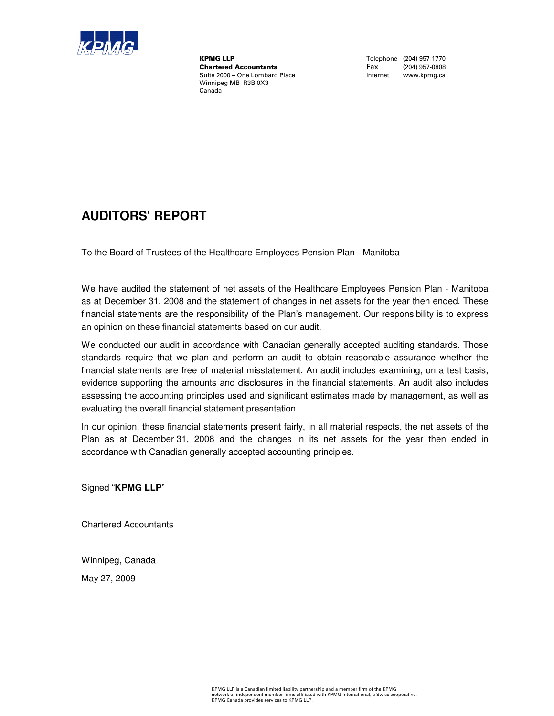

**KPMG LLP**<br>
Chartered Accountants<br>
Chartered Accountants<br>
Tax (204) 957-0808 **Chartered Accountants**<br>Suite 2000 - One Lombard Place Winnipeg MB R3B 0X3 Canada

Internet www.kpmg.ca

### **AUDITORS' REPORT**

To the Board of Trustees of the Healthcare Employees Pension Plan - Manitoba

We have audited the statement of net assets of the Healthcare Employees Pension Plan - Manitoba as at December 31, 2008 and the statement of changes in net assets for the year then ended. These financial statements are the responsibility of the Plan's management. Our responsibility is to express an opinion on these financial statements based on our audit.

We conducted our audit in accordance with Canadian generally accepted auditing standards. Those standards require that we plan and perform an audit to obtain reasonable assurance whether the financial statements are free of material misstatement. An audit includes examining, on a test basis, evidence supporting the amounts and disclosures in the financial statements. An audit also includes assessing the accounting principles used and significant estimates made by management, as well as evaluating the overall financial statement presentation.

In our opinion, these financial statements present fairly, in all material respects, the net assets of the Plan as at December 31, 2008 and the changes in its net assets for the year then ended in accordance with Canadian generally accepted accounting principles.

Signed "**KPMG LLP**"

Chartered Accountants

Winnipeg, Canada

May 27, 2009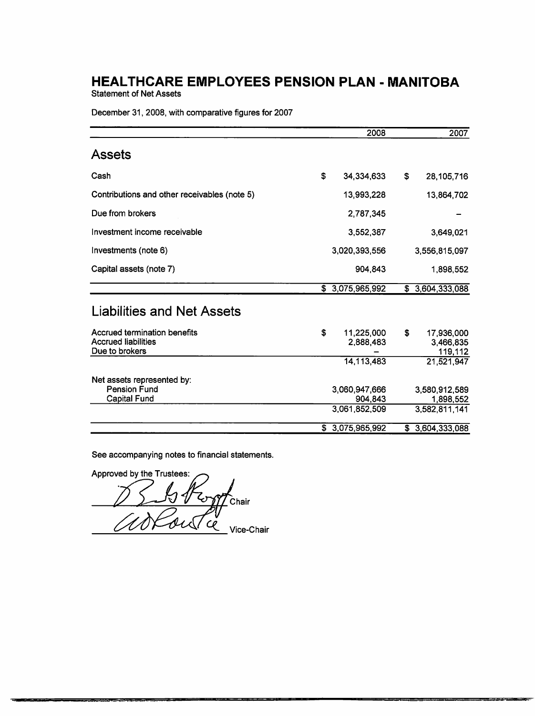**Statement of Net Assets** 

December 31, 2008, with comparative figures for 2007

|                                                                              | 2008                                      | 2007                                        |
|------------------------------------------------------------------------------|-------------------------------------------|---------------------------------------------|
| <b>Assets</b>                                                                |                                           |                                             |
| Cash                                                                         | \$<br>34,334,633                          | \$<br>28,105,716                            |
| Contributions and other receivables (note 5)                                 | 13,993,228                                | 13,864,702                                  |
| Due from brokers                                                             | 2,787,345                                 |                                             |
| Investment income receivable                                                 | 3,552,387                                 | 3,649,021                                   |
| Investments (note 6)                                                         | 3,020,393,556                             | 3,556,815,097                               |
| Capital assets (note 7)                                                      | 904,843                                   | 1,898,552                                   |
|                                                                              | \$3,075,965,992                           | \$3,604,333,088                             |
| <b>Liabilities and Net Assets</b>                                            |                                           |                                             |
| Accrued termination benefits<br><b>Accrued liabilities</b><br>Due to brokers | \$<br>11,225,000<br>2,888,483             | \$<br>17,936,000<br>3,466,835<br>119,112    |
|                                                                              | 14,113,483                                | 21,521,947                                  |
| Net assets represented by:<br><b>Pension Fund</b><br><b>Capital Fund</b>     | 3,060,947,666<br>904.843<br>3.061.852.509 | 3,580,912,589<br>1,898,552<br>3,582,811,141 |
|                                                                              | \$3,075,965,992                           | \$3,604,333,088                             |

See accompanying notes to financial statements.

Approved by the Trustees: Chair Vice-Chair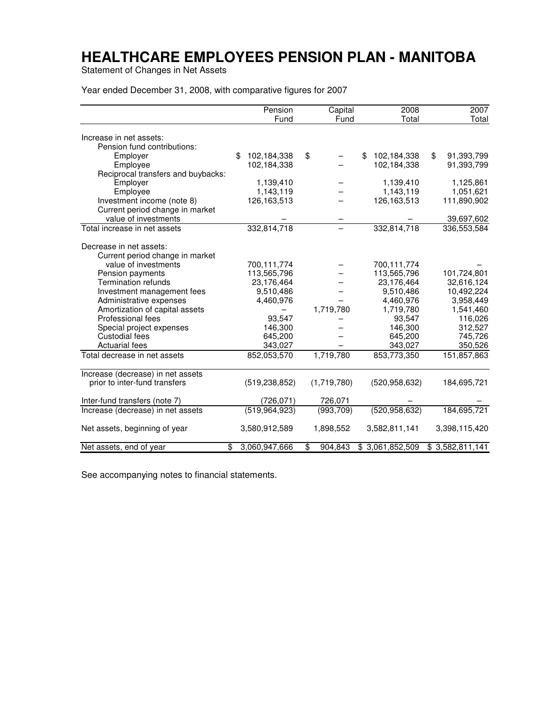Statement of Changes in Net Assets

Year ended December 31, 2008, with comparative figures for 2007

|                                    | Pension             | Capital       | 2008              | 2007             |
|------------------------------------|---------------------|---------------|-------------------|------------------|
|                                    | Fund                | Fund          | Total             | Total            |
| Increase in net assets:            |                     |               |                   |                  |
| Pension fund contributions:        |                     |               |                   |                  |
| Employer                           | \$<br>102,184,338   | \$            | \$<br>102,184,338 | \$<br>91,393,799 |
| Employee                           | 102,184,338         |               | 102,184,338       | 91,393,799       |
| Reciprocal transfers and buybacks: |                     |               |                   |                  |
| Employer                           | 1,139,410           |               | 1,139,410         | 1,125,861        |
| Employee                           | 1,143,119           |               | 1,143,119         | 1,051,621        |
| Investment income (note 8)         | 126,163,513         |               | 126,163,513       | 111,890,902      |
| Current period change in market    |                     |               |                   |                  |
| value of investments               |                     |               |                   | 39,697,602       |
| Total increase in net assets       | 332,814,718         |               | 332,814,718       | 336,553,584      |
|                                    |                     |               |                   |                  |
| Decrease in net assets:            |                     |               |                   |                  |
| Current period change in market    |                     |               |                   |                  |
| value of investments               | 700,111,774         |               | 700,111,774       |                  |
| Pension payments                   | 113,565,796         |               | 113,565,796       | 101,724,801      |
| <b>Termination refunds</b>         | 23,176,464          |               | 23,176,464        | 32,616,124       |
| Investment management fees         | 9,510,486           |               | 9,510,486         | 10,492,224       |
| Administrative expenses            | 4,460,976           |               | 4,460,976         | 3,958,449        |
| Amortization of capital assets     |                     | 1,719,780     | 1,719,780         | 1,541,460        |
| Professional fees                  | 93,547              |               | 93,547            | 116,026          |
| Special project expenses           | 146,300             |               | 146,300           | 312,527          |
| Custodial fees                     | 645,200             |               | 645,200           | 745,726          |
| <b>Actuarial fees</b>              | 343,027             |               | 343,027           | 350,526          |
| Total decrease in net assets       | 852,053,570         | 1,719,780     | 853,773,350       | 151,857,863      |
| Increase (decrease) in net assets  |                     |               |                   |                  |
| prior to inter-fund transfers      | (519, 238, 852)     | (1,719,780)   | (520, 958, 632)   | 184,695,721      |
|                                    |                     |               |                   |                  |
| Inter-fund transfers (note 7)      | (726, 071)          | 726,071       |                   |                  |
| Increase (decrease) in net assets  | (519, 964, 923)     | (993, 709)    | (520, 958, 632)   | 184,695,721      |
| Net assets, beginning of year      | 3,580,912,589       | 1,898,552     | 3,582,811,141     | 3,398,115,420    |
| Net assets, end of year            | \$<br>3,060,947,666 | \$<br>904.843 | \$3,061,852,509   | \$3,582,811,141  |

See accompanying notes to financial statements.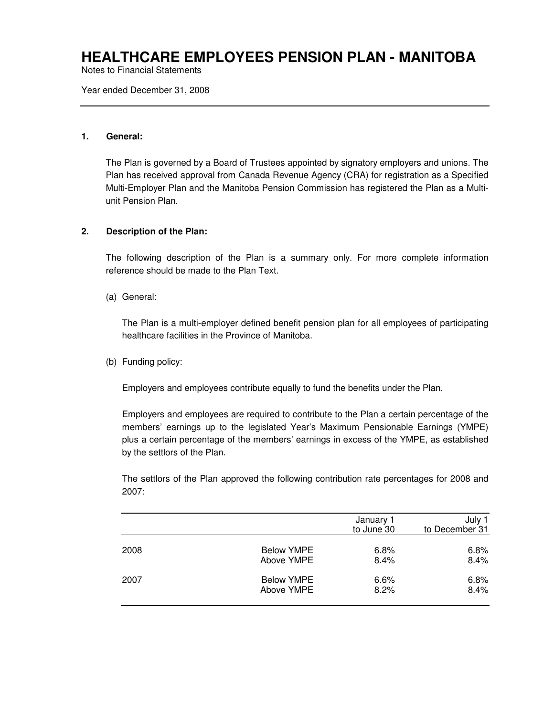Notes to Financial Statements

Year ended December 31, 2008

#### **1. General:**

The Plan is governed by a Board of Trustees appointed by signatory employers and unions. The Plan has received approval from Canada Revenue Agency (CRA) for registration as a Specified Multi-Employer Plan and the Manitoba Pension Commission has registered the Plan as a Multiunit Pension Plan.

### **2. Description of the Plan:**

The following description of the Plan is a summary only. For more complete information reference should be made to the Plan Text.

(a) General:

The Plan is a multi-employer defined benefit pension plan for all employees of participating healthcare facilities in the Province of Manitoba.

(b) Funding policy:

Employers and employees contribute equally to fund the benefits under the Plan.

Employers and employees are required to contribute to the Plan a certain percentage of the members' earnings up to the legislated Year's Maximum Pensionable Earnings (YMPE) plus a certain percentage of the members' earnings in excess of the YMPE, as established by the settlors of the Plan.

The settlors of the Plan approved the following contribution rate percentages for 2008 and 2007:

|      |                   | January 1<br>to June 30 | July 1<br>to December 31 |
|------|-------------------|-------------------------|--------------------------|
| 2008 | <b>Below YMPE</b> | 6.8%                    | 6.8%                     |
|      | Above YMPE        | 8.4%                    | 8.4%                     |
| 2007 | <b>Below YMPE</b> | 6.6%                    | 6.8%                     |
|      | Above YMPE        | 8.2%                    | 8.4%                     |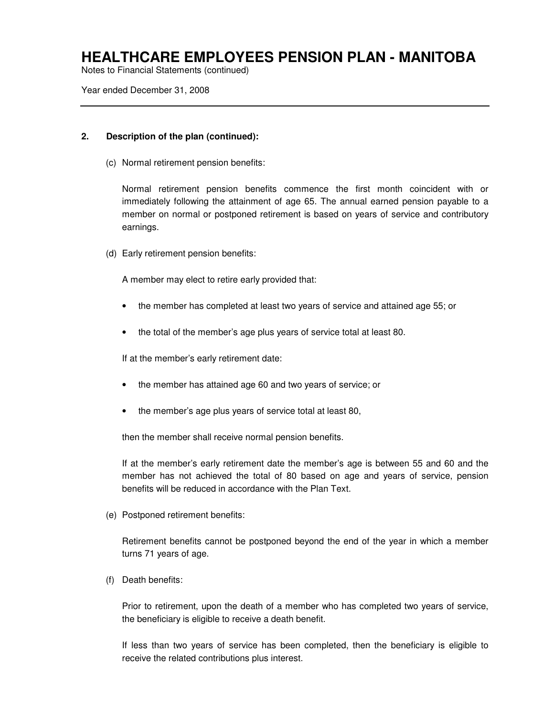Notes to Financial Statements (continued)

Year ended December 31, 2008

### **2. Description of the plan (continued):**

(c) Normal retirement pension benefits:

Normal retirement pension benefits commence the first month coincident with or immediately following the attainment of age 65. The annual earned pension payable to a member on normal or postponed retirement is based on years of service and contributory earnings.

(d) Early retirement pension benefits:

A member may elect to retire early provided that:

- the member has completed at least two years of service and attained age 55; or
- the total of the member's age plus years of service total at least 80.

If at the member's early retirement date:

- the member has attained age 60 and two years of service; or
- the member's age plus years of service total at least 80,

then the member shall receive normal pension benefits.

If at the member's early retirement date the member's age is between 55 and 60 and the member has not achieved the total of 80 based on age and years of service, pension benefits will be reduced in accordance with the Plan Text.

(e) Postponed retirement benefits:

Retirement benefits cannot be postponed beyond the end of the year in which a member turns 71 years of age.

(f) Death benefits:

Prior to retirement, upon the death of a member who has completed two years of service, the beneficiary is eligible to receive a death benefit.

If less than two years of service has been completed, then the beneficiary is eligible to receive the related contributions plus interest.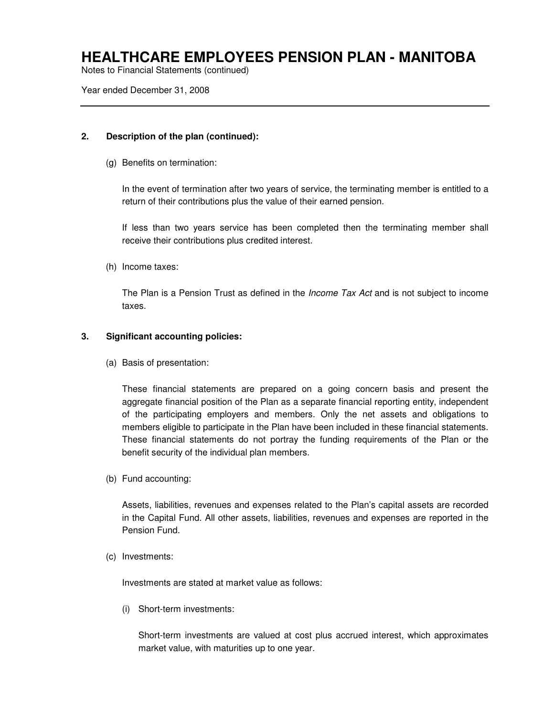Notes to Financial Statements (continued)

Year ended December 31, 2008

### **2. Description of the plan (continued):**

(g) Benefits on termination:

In the event of termination after two years of service, the terminating member is entitled to a return of their contributions plus the value of their earned pension.

If less than two years service has been completed then the terminating member shall receive their contributions plus credited interest.

(h) Income taxes:

The Plan is a Pension Trust as defined in the *Income Tax Act* and is not subject to income taxes.

### **3. Significant accounting policies:**

(a) Basis of presentation:

These financial statements are prepared on a going concern basis and present the aggregate financial position of the Plan as a separate financial reporting entity, independent of the participating employers and members. Only the net assets and obligations to members eligible to participate in the Plan have been included in these financial statements. These financial statements do not portray the funding requirements of the Plan or the benefit security of the individual plan members.

(b) Fund accounting:

Assets, liabilities, revenues and expenses related to the Plan's capital assets are recorded in the Capital Fund. All other assets, liabilities, revenues and expenses are reported in the Pension Fund.

(c) Investments:

Investments are stated at market value as follows:

(i) Short-term investments:

Short-term investments are valued at cost plus accrued interest, which approximates market value, with maturities up to one year.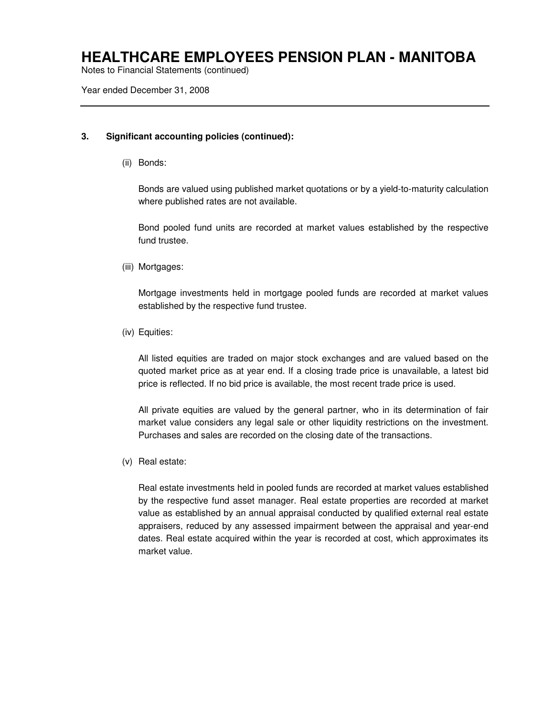Notes to Financial Statements (continued)

Year ended December 31, 2008

### **3. Significant accounting policies (continued):**

(ii) Bonds:

Bonds are valued using published market quotations or by a yield-to-maturity calculation where published rates are not available.

Bond pooled fund units are recorded at market values established by the respective fund trustee.

(iii) Mortgages:

Mortgage investments held in mortgage pooled funds are recorded at market values established by the respective fund trustee.

(iv) Equities:

All listed equities are traded on major stock exchanges and are valued based on the quoted market price as at year end. If a closing trade price is unavailable, a latest bid price is reflected. If no bid price is available, the most recent trade price is used.

All private equities are valued by the general partner, who in its determination of fair market value considers any legal sale or other liquidity restrictions on the investment. Purchases and sales are recorded on the closing date of the transactions.

(v) Real estate:

Real estate investments held in pooled funds are recorded at market values established by the respective fund asset manager. Real estate properties are recorded at market value as established by an annual appraisal conducted by qualified external real estate appraisers, reduced by any assessed impairment between the appraisal and year-end dates. Real estate acquired within the year is recorded at cost, which approximates its market value.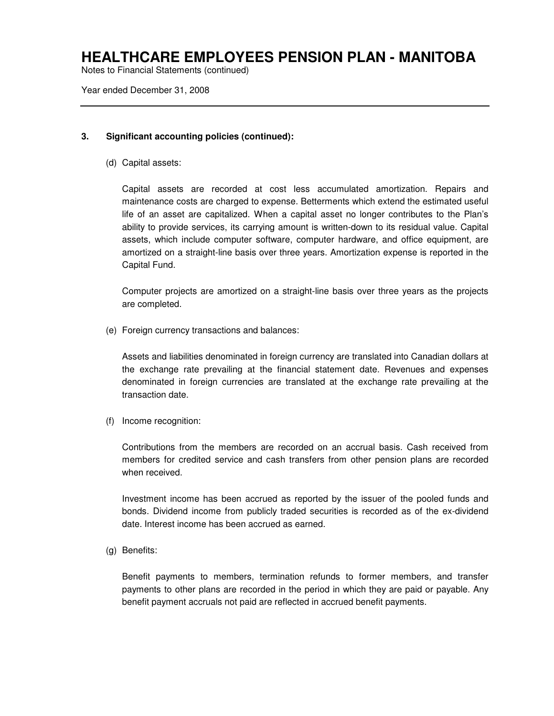Notes to Financial Statements (continued)

Year ended December 31, 2008

### **3. Significant accounting policies (continued):**

(d) Capital assets:

Capital assets are recorded at cost less accumulated amortization. Repairs and maintenance costs are charged to expense. Betterments which extend the estimated useful life of an asset are capitalized. When a capital asset no longer contributes to the Plan's ability to provide services, its carrying amount is written-down to its residual value. Capital assets, which include computer software, computer hardware, and office equipment, are amortized on a straight-line basis over three years. Amortization expense is reported in the Capital Fund.

Computer projects are amortized on a straight-line basis over three years as the projects are completed.

(e) Foreign currency transactions and balances:

Assets and liabilities denominated in foreign currency are translated into Canadian dollars at the exchange rate prevailing at the financial statement date. Revenues and expenses denominated in foreign currencies are translated at the exchange rate prevailing at the transaction date.

(f) Income recognition:

Contributions from the members are recorded on an accrual basis. Cash received from members for credited service and cash transfers from other pension plans are recorded when received.

Investment income has been accrued as reported by the issuer of the pooled funds and bonds. Dividend income from publicly traded securities is recorded as of the ex-dividend date. Interest income has been accrued as earned.

(g) Benefits:

Benefit payments to members, termination refunds to former members, and transfer payments to other plans are recorded in the period in which they are paid or payable. Any benefit payment accruals not paid are reflected in accrued benefit payments.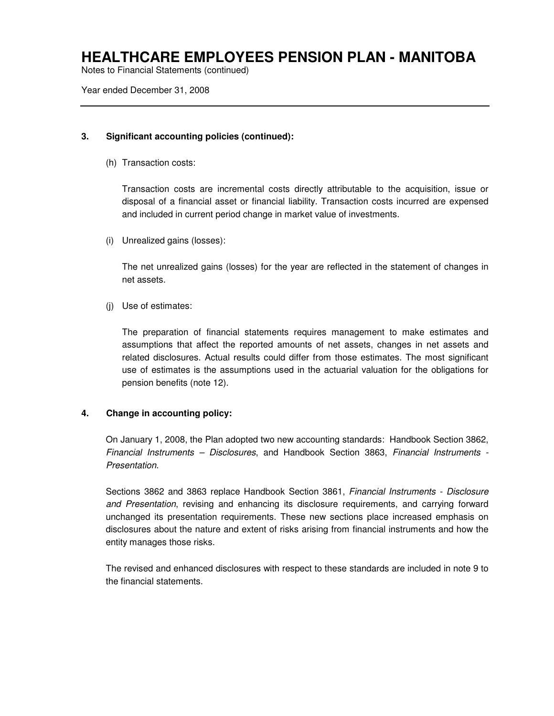Notes to Financial Statements (continued)

Year ended December 31, 2008

### **3. Significant accounting policies (continued):**

(h) Transaction costs:

Transaction costs are incremental costs directly attributable to the acquisition, issue or disposal of a financial asset or financial liability. Transaction costs incurred are expensed and included in current period change in market value of investments.

(i) Unrealized gains (losses):

The net unrealized gains (losses) for the year are reflected in the statement of changes in net assets.

(j) Use of estimates:

The preparation of financial statements requires management to make estimates and assumptions that affect the reported amounts of net assets, changes in net assets and related disclosures. Actual results could differ from those estimates. The most significant use of estimates is the assumptions used in the actuarial valuation for the obligations for pension benefits (note 12).

#### **4. Change in accounting policy:**

On January 1, 2008, the Plan adopted two new accounting standards: Handbook Section 3862, Financial Instruments – Disclosures, and Handbook Section 3863, Financial Instruments - Presentation.

Sections 3862 and 3863 replace Handbook Section 3861, Financial Instruments - Disclosure and Presentation, revising and enhancing its disclosure requirements, and carrying forward unchanged its presentation requirements. These new sections place increased emphasis on disclosures about the nature and extent of risks arising from financial instruments and how the entity manages those risks.

The revised and enhanced disclosures with respect to these standards are included in note 9 to the financial statements.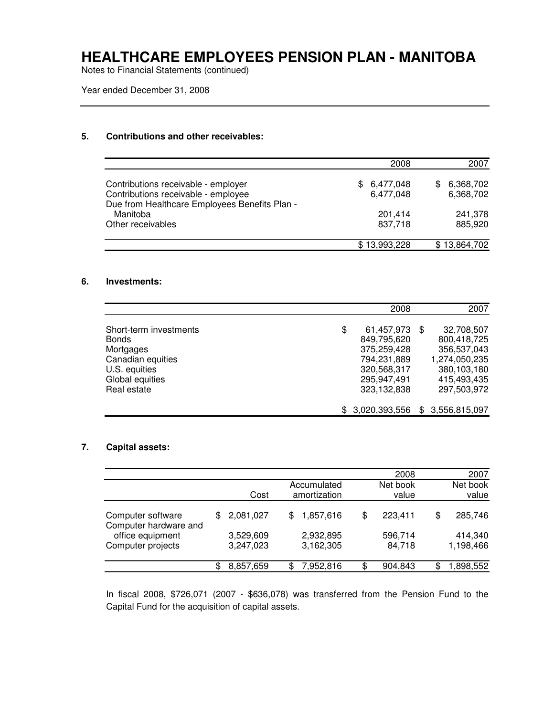Notes to Financial Statements (continued)

Year ended December 31, 2008

### **5. Contributions and other receivables:**

|                                                                                                                             | 2008                          | 2007                         |
|-----------------------------------------------------------------------------------------------------------------------------|-------------------------------|------------------------------|
| Contributions receivable - employer<br>Contributions receivable - employee<br>Due from Healthcare Employees Benefits Plan - | 6,477,048<br>SS.<br>6,477,048 | 6,368,702<br>\$<br>6,368,702 |
| Manitoba<br>Other receivables                                                                                               | 201,414<br>837.718            | 241,378<br>885,920           |
|                                                                                                                             | \$13,993,228                  | \$13,864,702                 |

#### **6. Investments:**

|                        |     | 2008          |     | 2007          |
|------------------------|-----|---------------|-----|---------------|
|                        |     |               |     |               |
| Short-term investments | \$  | 61,457,973    | \$. | 32,708,507    |
| <b>Bonds</b>           |     | 849,795,620   |     | 800,418,725   |
| Mortgages              |     | 375,259,428   |     | 356,537,043   |
| Canadian equities      |     | 794,231,889   |     | 1,274,050,235 |
| U.S. equities          |     | 320,568,317   |     | 380,103,180   |
| Global equities        |     | 295,947,491   |     | 415,493,435   |
| Real estate            |     | 323,132,838   |     | 297,503,972   |
|                        |     |               |     |               |
|                        | \$. | 3,020,393,556 | \$. | 3,556,815,097 |

### **7. Capital assets:**

|                                            |     |                        |    |                             | 2008              |   | 2007                 |
|--------------------------------------------|-----|------------------------|----|-----------------------------|-------------------|---|----------------------|
|                                            |     | Cost                   |    | Accumulated<br>amortization | Net book<br>value |   | Net book<br>value    |
| Computer software<br>Computer hardware and | \$. | 2,081,027              | S  | 1,857,616                   | \$<br>223,411     | S | 285,746              |
| office equipment<br>Computer projects      |     | 3,529,609<br>3,247,023 |    | 2,932,895<br>3,162,305      | 596,714<br>84,718 |   | 414,340<br>1,198,466 |
|                                            |     | 8,857,659              | \$ | 7,952,816                   | \$<br>904,843     | S | 898,552,             |

In fiscal 2008, \$726,071 (2007 - \$636,078) was transferred from the Pension Fund to the Capital Fund for the acquisition of capital assets.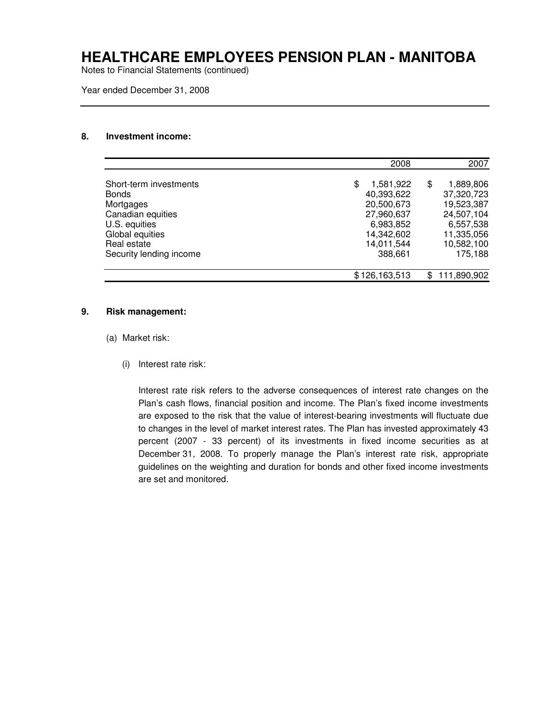Notes to Financial Statements (continued)

Year ended December 31, 2008

#### **8. Investment income:**

|                         |   | 2008          |   | 2007        |
|-------------------------|---|---------------|---|-------------|
| Short-term investments  | S | 1,581,922     | S | 1,889,806   |
| <b>Bonds</b>            |   | 40,393,622    |   | 37,320,723  |
| Mortgages               |   | 20,500,673    |   | 19,523,387  |
| Canadian equities       |   | 27,960,637    |   | 24,507,104  |
| U.S. equities           |   | 6,983,852     |   | 6,557,538   |
| Global equities         |   | 14,342,602    |   | 11,335,056  |
| Real estate             |   | 14,011,544    |   | 10,582,100  |
| Security lending income |   | 388,661       |   | 175,188     |
|                         |   | \$126,163,513 |   | 111,890,902 |

#### **9. Risk management:**

- (a) Market risk:
	- (i) Interest rate risk:

Interest rate risk refers to the adverse consequences of interest rate changes on the Plan's cash flows, financial position and income. The Plan's fixed income investments are exposed to the risk that the value of interest-bearing investments will fluctuate due to changes in the level of market interest rates. The Plan has invested approximately 43 percent (2007 - 33 percent) of its investments in fixed income securities as at December 31, 2008. To properly manage the Plan's interest rate risk, appropriate guidelines on the weighting and duration for bonds and other fixed income investments are set and monitored.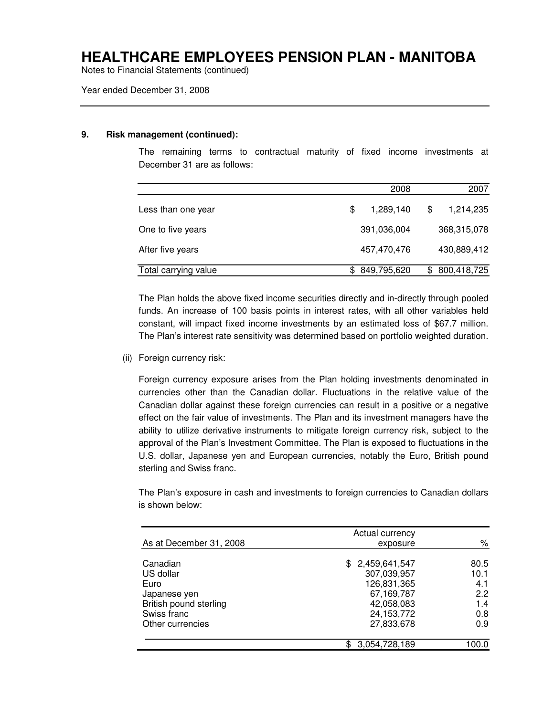Notes to Financial Statements (continued)

#### Year ended December 31, 2008

#### **9. Risk management (continued):**

The remaining terms to contractual maturity of fixed income investments at December 31 are as follows:

|                      | 2008            | 2007              |
|----------------------|-----------------|-------------------|
| Less than one year   | \$<br>1,289,140 | \$<br>1,214,235   |
| One to five years    | 391,036,004     | 368,315,078       |
| After five years     | 457,470,476     | 430,889,412       |
| Total carrying value | 849,795,620     | \$<br>800,418,725 |

The Plan holds the above fixed income securities directly and in-directly through pooled funds. An increase of 100 basis points in interest rates, with all other variables held constant, will impact fixed income investments by an estimated loss of \$67.7 million. The Plan's interest rate sensitivity was determined based on portfolio weighted duration.

(ii) Foreign currency risk:

Foreign currency exposure arises from the Plan holding investments denominated in currencies other than the Canadian dollar. Fluctuations in the relative value of the Canadian dollar against these foreign currencies can result in a positive or a negative effect on the fair value of investments. The Plan and its investment managers have the ability to utilize derivative instruments to mitigate foreign currency risk, subject to the approval of the Plan's Investment Committee. The Plan is exposed to fluctuations in the U.S. dollar, Japanese yen and European currencies, notably the Euro, British pound sterling and Swiss franc.

The Plan's exposure in cash and investments to foreign currencies to Canadian dollars is shown below:

|                                 | Actual currency            |             |
|---------------------------------|----------------------------|-------------|
| As at December 31, 2008         | exposure                   | ℅           |
| Canadian                        | \$2,459,641,547            | 80.5        |
| US dollar<br>Euro               | 307,039,957<br>126,831,365 | 10.1<br>4.1 |
| Japanese yen                    | 67,169,787                 | 2.2         |
| British pound sterling          | 42,058,083                 | 1.4         |
| Swiss franc<br>Other currencies | 24,153,772<br>27,833,678   | 0.8<br>0.9  |
|                                 |                            |             |
|                                 | 3,054,728,189              | 100.0       |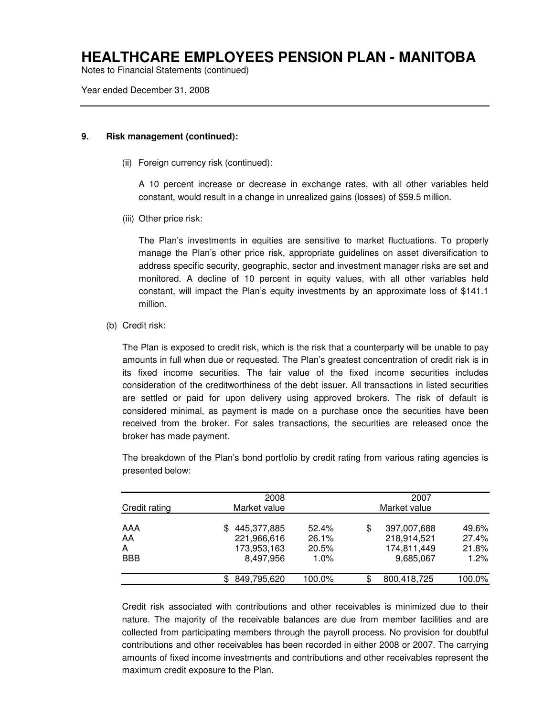Notes to Financial Statements (continued)

Year ended December 31, 2008

#### **9. Risk management (continued):**

(ii) Foreign currency risk (continued):

A 10 percent increase or decrease in exchange rates, with all other variables held constant, would result in a change in unrealized gains (losses) of \$59.5 million.

(iii) Other price risk:

The Plan's investments in equities are sensitive to market fluctuations. To properly manage the Plan's other price risk, appropriate guidelines on asset diversification to address specific security, geographic, sector and investment manager risks are set and monitored. A decline of 10 percent in equity values, with all other variables held constant, will impact the Plan's equity investments by an approximate loss of \$141.1 million.

(b) Credit risk:

The Plan is exposed to credit risk, which is the risk that a counterparty will be unable to pay amounts in full when due or requested. The Plan's greatest concentration of credit risk is in its fixed income securities. The fair value of the fixed income securities includes consideration of the creditworthiness of the debt issuer. All transactions in listed securities are settled or paid for upon delivery using approved brokers. The risk of default is considered minimal, as payment is made on a purchase once the securities have been received from the broker. For sales transactions, the securities are released once the broker has made payment.

| Credit rating                | 2008<br>Market value                                          | 2007<br>Market value               |    |                                                        |                                 |
|------------------------------|---------------------------------------------------------------|------------------------------------|----|--------------------------------------------------------|---------------------------------|
| AAA<br>AA<br>A<br><b>BBB</b> | 445,377,885<br>\$.<br>221,966,616<br>173,953,163<br>8,497,956 | 52.4%<br>26.1%<br>20.5%<br>$1.0\%$ | \$ | 397,007,688<br>218,914,521<br>174,811,449<br>9,685,067 | 49.6%<br>27.4%<br>21.8%<br>1.2% |
|                              | 849,795,620                                                   | 100.0%                             | \$ | 800,418,725                                            | 100.0%                          |

The breakdown of the Plan's bond portfolio by credit rating from various rating agencies is presented below:

Credit risk associated with contributions and other receivables is minimized due to their nature. The majority of the receivable balances are due from member facilities and are collected from participating members through the payroll process. No provision for doubtful contributions and other receivables has been recorded in either 2008 or 2007. The carrying amounts of fixed income investments and contributions and other receivables represent the maximum credit exposure to the Plan.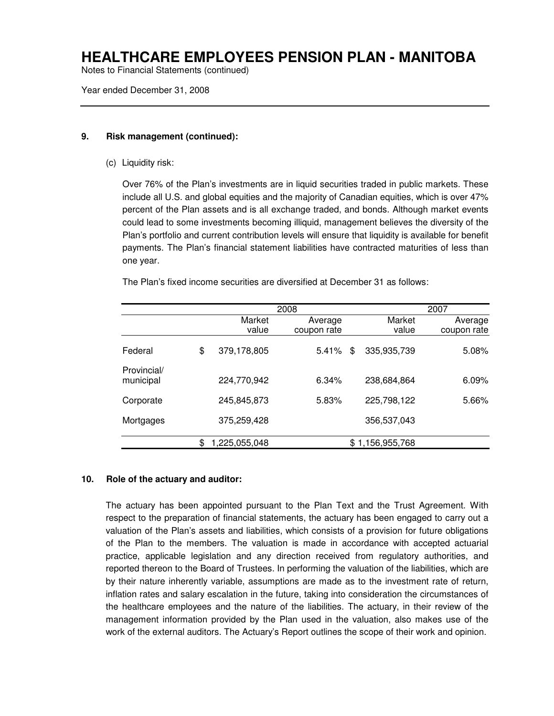Notes to Financial Statements (continued)

Year ended December 31, 2008

#### **9. Risk management (continued):**

(c) Liquidity risk:

Over 76% of the Plan's investments are in liquid securities traded in public markets. These include all U.S. and global equities and the majority of Canadian equities, which is over 47% percent of the Plan assets and is all exchange traded, and bonds. Although market events could lead to some investments becoming illiquid, management believes the diversity of the Plan's portfolio and current contribution levels will ensure that liquidity is available for benefit payments. The Plan's financial statement liabilities have contracted maturities of less than one year.

The Plan's fixed income securities are diversified at December 31 as follows:

|                          | 2008                |             |    |                 | 2007        |
|--------------------------|---------------------|-------------|----|-----------------|-------------|
|                          | Market              | Average     |    | Market          | Average     |
|                          | value               | coupon rate |    | value           | coupon rate |
| Federal                  | \$<br>379,178,805   | 5.41%       | \$ | 335,935,739     | $5.08\%$    |
| Provincial/<br>municipal | 224,770,942         | 6.34%       |    | 238,684,864     | 6.09%       |
| Corporate                | 245,845,873         | 5.83%       |    | 225,798,122     | 5.66%       |
| Mortgages                | 375,259,428         |             |    | 356,537,043     |             |
|                          | \$<br>1,225,055,048 |             |    | \$1,156,955,768 |             |

#### **10. Role of the actuary and auditor:**

The actuary has been appointed pursuant to the Plan Text and the Trust Agreement. With respect to the preparation of financial statements, the actuary has been engaged to carry out a valuation of the Plan's assets and liabilities, which consists of a provision for future obligations of the Plan to the members. The valuation is made in accordance with accepted actuarial practice, applicable legislation and any direction received from regulatory authorities, and reported thereon to the Board of Trustees. In performing the valuation of the liabilities, which are by their nature inherently variable, assumptions are made as to the investment rate of return, inflation rates and salary escalation in the future, taking into consideration the circumstances of the healthcare employees and the nature of the liabilities. The actuary, in their review of the management information provided by the Plan used in the valuation, also makes use of the work of the external auditors. The Actuary's Report outlines the scope of their work and opinion.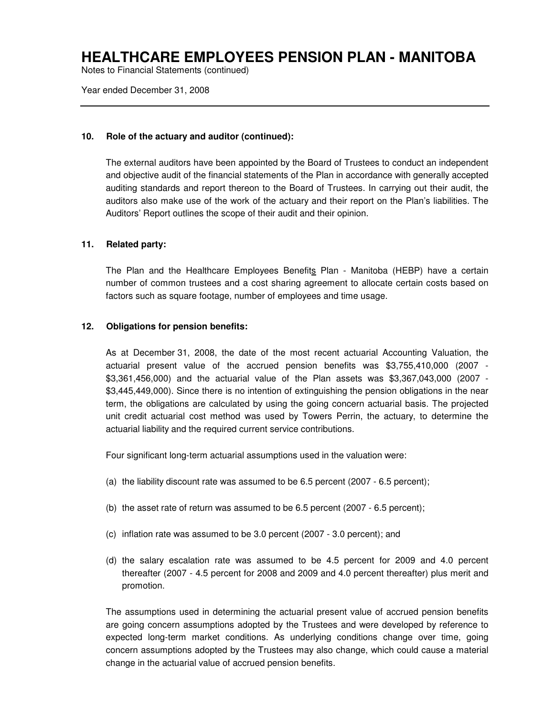Notes to Financial Statements (continued)

Year ended December 31, 2008

#### **10. Role of the actuary and auditor (continued):**

The external auditors have been appointed by the Board of Trustees to conduct an independent and objective audit of the financial statements of the Plan in accordance with generally accepted auditing standards and report thereon to the Board of Trustees. In carrying out their audit, the auditors also make use of the work of the actuary and their report on the Plan's liabilities. The Auditors' Report outlines the scope of their audit and their opinion.

### **11. Related party:**

The Plan and the Healthcare Employees Benefits Plan - Manitoba (HEBP) have a certain number of common trustees and a cost sharing agreement to allocate certain costs based on factors such as square footage, number of employees and time usage.

### **12. Obligations for pension benefits:**

As at December 31, 2008, the date of the most recent actuarial Accounting Valuation, the actuarial present value of the accrued pension benefits was \$3,755,410,000 (2007 - \$3,361,456,000) and the actuarial value of the Plan assets was \$3,367,043,000 (2007 - \$3,445,449,000). Since there is no intention of extinguishing the pension obligations in the near term, the obligations are calculated by using the going concern actuarial basis. The projected unit credit actuarial cost method was used by Towers Perrin, the actuary, to determine the actuarial liability and the required current service contributions.

Four significant long-term actuarial assumptions used in the valuation were:

- (a) the liability discount rate was assumed to be 6.5 percent (2007 6.5 percent);
- (b) the asset rate of return was assumed to be 6.5 percent (2007 6.5 percent);
- (c) inflation rate was assumed to be 3.0 percent (2007 3.0 percent); and
- (d) the salary escalation rate was assumed to be 4.5 percent for 2009 and 4.0 percent thereafter (2007 - 4.5 percent for 2008 and 2009 and 4.0 percent thereafter) plus merit and promotion.

The assumptions used in determining the actuarial present value of accrued pension benefits are going concern assumptions adopted by the Trustees and were developed by reference to expected long-term market conditions. As underlying conditions change over time, going concern assumptions adopted by the Trustees may also change, which could cause a material change in the actuarial value of accrued pension benefits.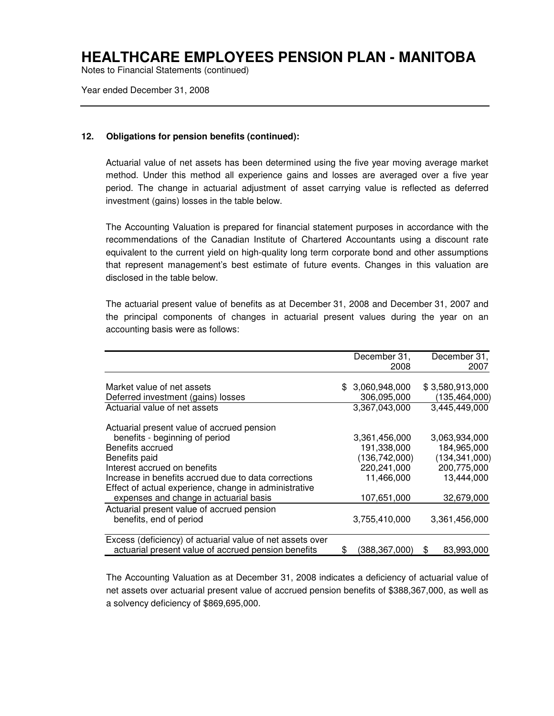Notes to Financial Statements (continued)

Year ended December 31, 2008

### **12. Obligations for pension benefits (continued):**

Actuarial value of net assets has been determined using the five year moving average market method. Under this method all experience gains and losses are averaged over a five year period. The change in actuarial adjustment of asset carrying value is reflected as deferred investment (gains) losses in the table below.

The Accounting Valuation is prepared for financial statement purposes in accordance with the recommendations of the Canadian Institute of Chartered Accountants using a discount rate equivalent to the current yield on high-quality long term corporate bond and other assumptions that represent management's best estimate of future events. Changes in this valuation are disclosed in the table below.

The actuarial present value of benefits as at December 31, 2008 and December 31, 2007 and the principal components of changes in actuarial present values during the year on an accounting basis were as follows:

|                                                                                                         | December 31,<br>December 31, |
|---------------------------------------------------------------------------------------------------------|------------------------------|
|                                                                                                         | 2008<br>2007                 |
| Market value of net assets<br>\$3,060,948,000                                                           | \$3,580,913,000              |
| Deferred investment (gains) losses<br>306,095,000                                                       | (135, 464, 000)              |
| Actuarial value of net assets<br>3,367,043,000                                                          | 3,445,449,000                |
| Actuarial present value of accrued pension                                                              |                              |
| benefits - beginning of period<br>3,361,456,000                                                         | 3.063.934.000                |
| Benefits accrued<br>191,338,000                                                                         | 184,965,000                  |
| (136, 742, 000)<br>Benefits paid                                                                        | (134, 341, 000)              |
| Interest accrued on benefits<br>220,241,000                                                             | 200,775,000                  |
| Increase in benefits accrued due to data corrections<br>11,466,000                                      | 13,444,000                   |
| Effect of actual experience, change in administrative                                                   |                              |
| expenses and change in actuarial basis<br>107,651,000                                                   | 32,679,000                   |
|                                                                                                         |                              |
| benefits, end of period<br>3,755,410,000                                                                | 3,361,456,000                |
|                                                                                                         |                              |
| actuarial present value of accrued pension benefits<br>(388, 367, 000)<br>S                             | 83,993,000<br>\$             |
| Actuarial present value of accrued pension<br>Excess (deficiency) of actuarial value of net assets over |                              |

The Accounting Valuation as at December 31, 2008 indicates a deficiency of actuarial value of net assets over actuarial present value of accrued pension benefits of \$388,367,000, as well as a solvency deficiency of \$869,695,000.